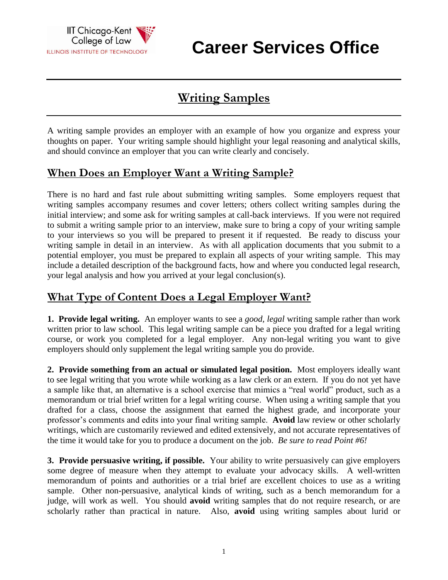

**Career Services Office**

# **Writing Samples**

A writing sample provides an employer with an example of how you organize and express your thoughts on paper. Your writing sample should highlight your legal reasoning and analytical skills, and should convince an employer that you can write clearly and concisely.

### **When Does an Employer Want a Writing Sample?**

There is no hard and fast rule about submitting writing samples. Some employers request that writing samples accompany resumes and cover letters; others collect writing samples during the initial interview; and some ask for writing samples at call-back interviews. If you were not required to submit a writing sample prior to an interview, make sure to bring a copy of your writing sample to your interviews so you will be prepared to present it if requested. Be ready to discuss your writing sample in detail in an interview. As with all application documents that you submit to a potential employer, you must be prepared to explain all aspects of your writing sample. This may include a detailed description of the background facts, how and where you conducted legal research, your legal analysis and how you arrived at your legal conclusion(s).

## **What Type of Content Does a Legal Employer Want?**

**1. Provide legal writing.** An employer wants to see a *good, legal* writing sample rather than work written prior to law school. This legal writing sample can be a piece you drafted for a legal writing course, or work you completed for a legal employer. Any non-legal writing you want to give employers should only supplement the legal writing sample you do provide.

**2. Provide something from an actual or simulated legal position.** Most employers ideally want to see legal writing that you wrote while working as a law clerk or an extern. If you do not yet have a sample like that, an alternative is a school exercise that mimics a "real world" product, such as a memorandum or trial brief written for a legal writing course. When using a writing sample that you drafted for a class, choose the assignment that earned the highest grade, and incorporate your professor's comments and edits into your final writing sample. **Avoid** law review or other scholarly writings, which are customarily reviewed and edited extensively, and not accurate representatives of the time it would take for you to produce a document on the job. *Be sure to read Point #6!*

**3. Provide persuasive writing, if possible.** Your ability to write persuasively can give employers some degree of measure when they attempt to evaluate your advocacy skills. A well-written memorandum of points and authorities or a trial brief are excellent choices to use as a writing sample. Other non-persuasive, analytical kinds of writing, such as a bench memorandum for a judge, will work as well. You should **avoid** writing samples that do not require research, or are scholarly rather than practical in nature. Also, **avoid** using writing samples about lurid or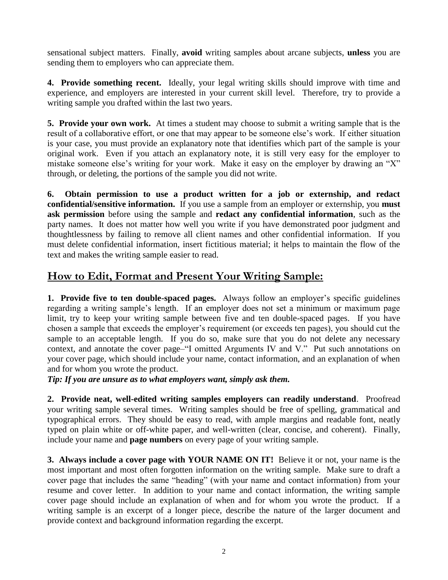sensational subject matters. Finally, **avoid** writing samples about arcane subjects, **unless** you are sending them to employers who can appreciate them.

**4. Provide something recent.** Ideally, your legal writing skills should improve with time and experience, and employers are interested in your current skill level. Therefore, try to provide a writing sample you drafted within the last two years.

**5. Provide your own work.** At times a student may choose to submit a writing sample that is the result of a collaborative effort, or one that may appear to be someone else's work. If either situation is your case, you must provide an explanatory note that identifies which part of the sample is your original work. Even if you attach an explanatory note, it is still very easy for the employer to mistake someone else's writing for your work. Make it easy on the employer by drawing an "X" through, or deleting, the portions of the sample you did not write.

**6. Obtain permission to use a product written for a job or externship, and redact confidential/sensitive information.** If you use a sample from an employer or externship, you **must ask permission** before using the sample and **redact any confidential information**, such as the party names. It does not matter how well you write if you have demonstrated poor judgment and thoughtlessness by failing to remove all client names and other confidential information. If you must delete confidential information, insert fictitious material; it helps to maintain the flow of the text and makes the writing sample easier to read.

## **How to Edit, Format and Present Your Writing Sample:**

**1. Provide five to ten double-spaced pages.** Always follow an employer's specific guidelines regarding a writing sample's length. If an employer does not set a minimum or maximum page limit, try to keep your writing sample between five and ten double-spaced pages. If you have chosen a sample that exceeds the employer's requirement (or exceeds ten pages), you should cut the sample to an acceptable length. If you do so, make sure that you do not delete any necessary context, and annotate the cover page–"I omitted Arguments IV and V." Put such annotations on your cover page, which should include your name, contact information, and an explanation of when and for whom you wrote the product.

*Tip: If you are unsure as to what employers want, simply ask them.*

**2. Provide neat, well-edited writing samples employers can readily understand**. Proofread your writing sample several times. Writing samples should be free of spelling, grammatical and typographical errors. They should be easy to read, with ample margins and readable font, neatly typed on plain white or off-white paper, and well-written (clear, concise, and coherent). Finally, include your name and **page numbers** on every page of your writing sample.

**3. Always include a cover page with YOUR NAME ON IT!** Believe it or not, your name is the most important and most often forgotten information on the writing sample. Make sure to draft a cover page that includes the same "heading" (with your name and contact information) from your resume and cover letter. In addition to your name and contact information, the writing sample cover page should include an explanation of when and for whom you wrote the product. If a writing sample is an excerpt of a longer piece, describe the nature of the larger document and provide context and background information regarding the excerpt.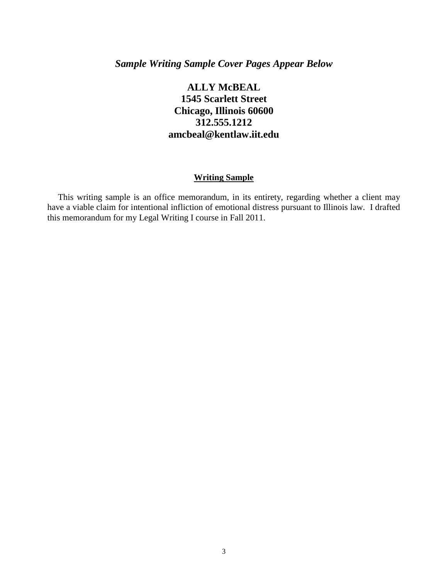### *Sample Writing Sample Cover Pages Appear Below*

### **ALLY McBEAL 1545 Scarlett Street Chicago, Illinois 60600 312.555.1212 amcbeal@kentlaw.iit.edu**

#### **Writing Sample**

This writing sample is an office memorandum, in its entirety, regarding whether a client may have a viable claim for intentional infliction of emotional distress pursuant to Illinois law. I drafted this memorandum for my Legal Writing I course in Fall 2011.